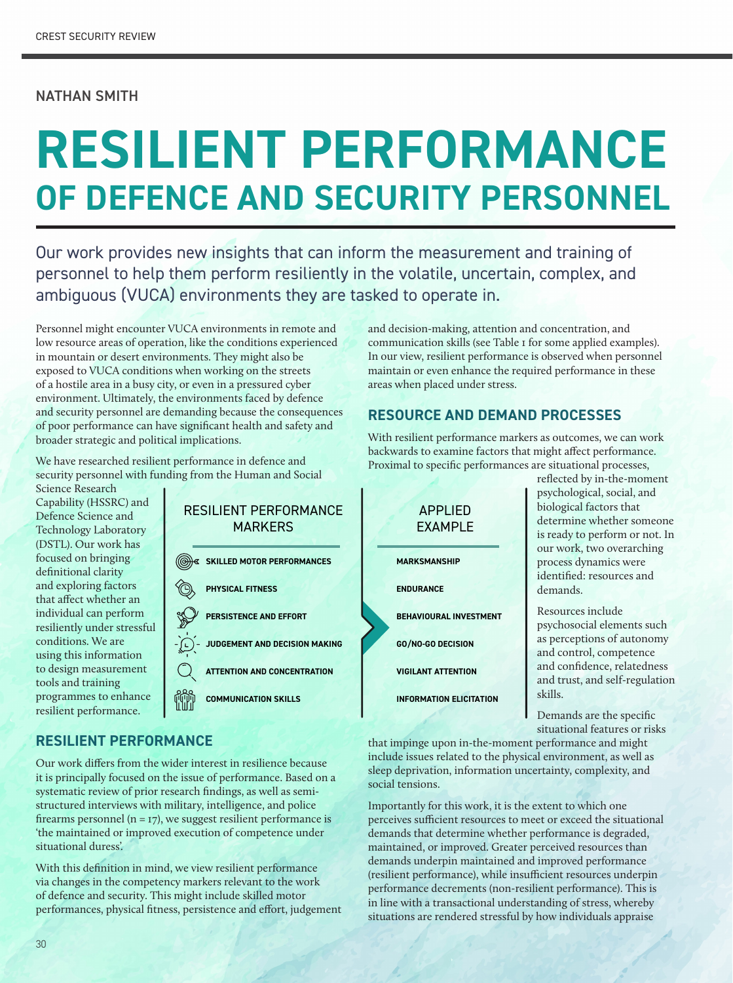#### NATHAN SMITH

# **RESILIENT PERFORMANCE OF DEFENCE AND SECURITY PERSONNEL**

Our work provides new insights that can inform the measurement and training of personnel to help them perform resiliently in the volatile, uncertain, complex, and ambiguous (VUCA) environments they are tasked to operate in.

Personnel might encounter VUCA environments in remote and low resource areas of operation, like the conditions experienced in mountain or desert environments. They might also be exposed to VUCA conditions when working on the streets of a hostile area in a busy city, or even in a pressured cyber environment. Ultimately, the environments faced by defence and security personnel are demanding because the consequences of poor performance can have significant health and safety and broader strategic and political implications.

We have researched resilient performance in defence and security personnel with funding from the Human and Social

Science Research Capability (HSSRC) and Defence Science and Technology Laboratory (DSTL). Our work has focused on bringing definitional clarity and exploring factors that affect whether an individual can perform resiliently under stressful conditions. We are using this information to design measurement tools and training programmes to enhance resilient performance.



and decision-making, attention and concentration, and communication skills (see Table 1 for some applied examples). In our view, resilient performance is observed when personnel maintain or even enhance the required performance in these areas when placed under stress.

### **RESOURCE AND DEMAND PROCESSES**

With resilient performance markers as outcomes, we can work backwards to examine factors that might affect performance. Proximal to specific performances are situational processes,



determine whether someone is ready to perform or not. In our work, two overarching process dynamics were identified: resources and Resources include

psychosocial elements such as perceptions of autonomy and control, competence and confidence, relatedness and trust, and self-regulation

Demands are the specific situational features or risks

that impinge upon in-the-moment performance and might include issues related to the physical environment, as well as sleep deprivation, information uncertainty, complexity, and social tensions.

Importantly for this work, it is the extent to which one perceives sufficient resources to meet or exceed the situational demands that determine whether performance is degraded, maintained, or improved. Greater perceived resources than demands underpin maintained and improved performance (resilient performance), while insufficient resources underpin performance decrements (non-resilient performance). This is in line with a transactional understanding of stress, whereby situations are rendered stressful by how individuals appraise

## **RESILIENT PERFORMANCE**

Our work differs from the wider interest in resilience because it is principally focused on the issue of performance. Based on a systematic review of prior research findings, as well as semistructured interviews with military, intelligence, and police firearms personnel ( $n = 17$ ), we suggest resilient performance is 'the maintained or improved execution of competence under situational duress'.

With this definition in mind, we view resilient performance via changes in the competency markers relevant to the work of defence and security. This might include skilled motor performances, physical fitness, persistence and effort, judgement